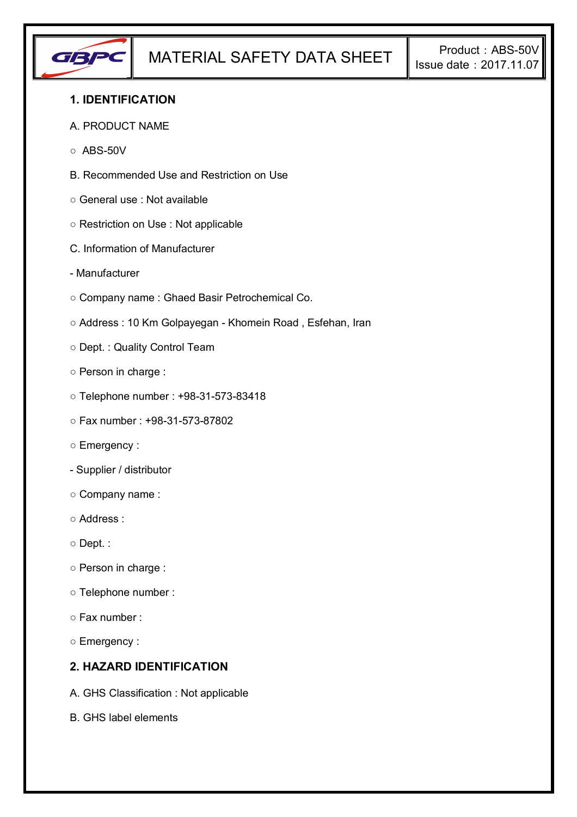

## **1. IDENTIFICATION**

#### A. PRODUCT NAME

- $\circ$  ABS-50V
- B. Recommended Use and Restriction on Use
- General use : Not available
- Restriction on Use : Not applicable
- C. Information of Manufacturer
- Manufacturer
- Company name : Ghaed Basir Petrochemical Co.
- Address : 10 Km Golpayegan Khomein Road , Esfehan, Iran
- Dept. : Quality Control Team
- Person in charge :
- Telephone number : +98-31-573-83418
- Fax number : +98-31-573-87802
- Emergency :
- Supplier / distributor
- Company name :
- Address :
- Dept. :
- Person in charge :
- Telephone number :
- Fax number :
- Emergency :

## **2. HAZARD IDENTIFICATION**

- A. GHS Classification : Not applicable
- B. GHS label elements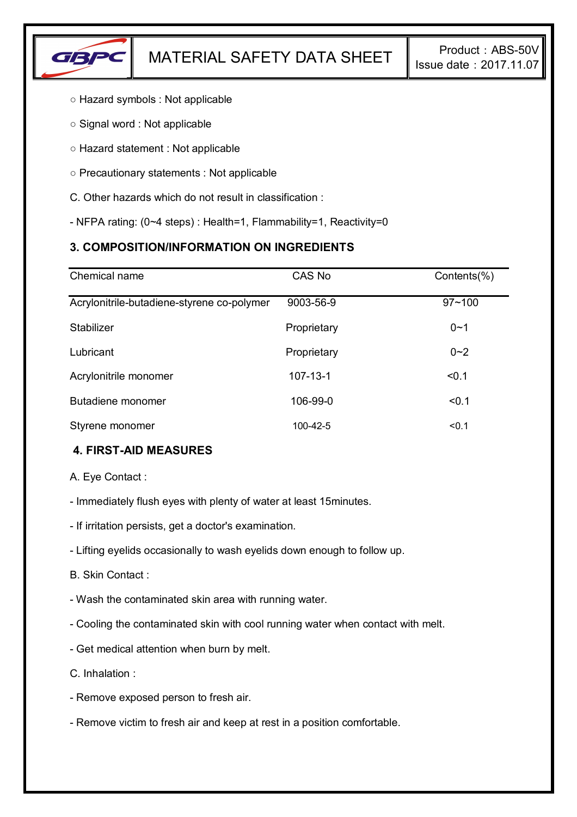

- Hazard symbols : Not applicable
- Signal word : Not applicable
- Hazard statement : Not applicable
- Precautionary statements : Not applicable
- C. Other hazards which do not result in classification :
- NFPA rating: (0~4 steps) : Health=1, Flammability=1, Reactivity=0

# **3. COMPOSITION/INFORMATION ON INGREDIENTS**

| Chemical name                              | CAS No         | Contents(%) |
|--------------------------------------------|----------------|-------------|
| Acrylonitrile-butadiene-styrene co-polymer | 9003-56-9      | $97 - 100$  |
| Stabilizer                                 | Proprietary    | $0 - 1$     |
| Lubricant                                  | Proprietary    | $0 - 2$     |
| Acrylonitrile monomer                      | $107 - 13 - 1$ | < 0.1       |
| Butadiene monomer                          | 106-99-0       | < 0.1       |
| Styrene monomer                            | $100 - 42 - 5$ | < 0.1       |

# **4. FIRST-AID MEASURES**

A. Eye Contact :

- Immediately flush eyes with plenty of water at least 15minutes.
- If irritation persists, get a doctor's examination.
- Lifting eyelids occasionally to wash eyelids down enough to follow up.
- B. Skin Contact :
- Wash the contaminated skin area with running water.
- Cooling the contaminated skin with cool running water when contact with melt.
- Get medical attention when burn by melt.
- C. Inhalation :
- Remove exposed person to fresh air.
- Remove victim to fresh air and keep at rest in a position comfortable.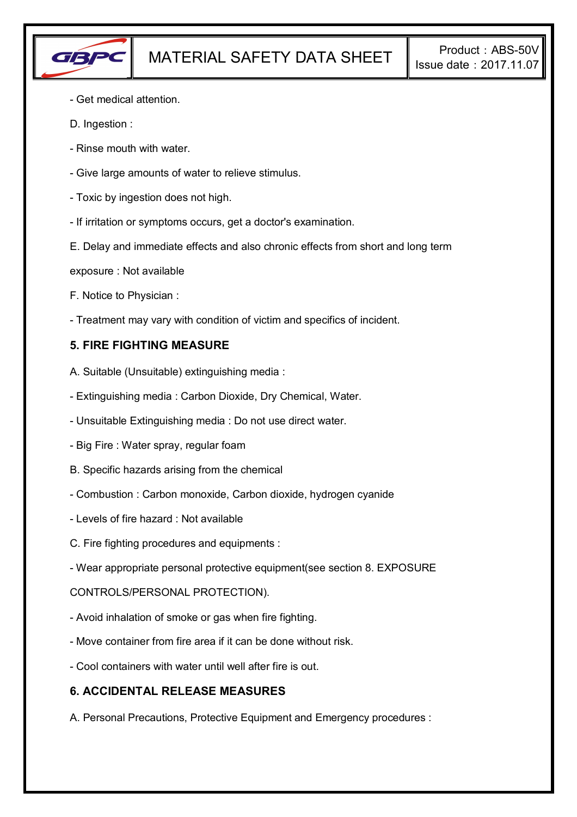

- Get medical attention.
- D. Ingestion :
- Rinse mouth with water.
- Give large amounts of water to relieve stimulus.
- Toxic by ingestion does not high.
- If irritation or symptoms occurs, get a doctor's examination.
- E. Delay and immediate effects and also chronic effects from short and long term
- exposure : Not available
- F. Notice to Physician :
- Treatment may vary with condition of victim and specifics of incident.

## **5. FIRE FIGHTING MEASURE**

- A. Suitable (Unsuitable) extinguishing media :
- Extinguishing media : Carbon Dioxide, Dry Chemical, Water.
- Unsuitable Extinguishing media : Do not use direct water.
- Big Fire : Water spray, regular foam
- B. Specific hazards arising from the chemical
- Combustion : Carbon monoxide, Carbon dioxide, hydrogen cyanide
- Levels of fire hazard : Not available
- C. Fire fighting procedures and equipments :
- Wear appropriate personal protective equipment(see section 8. EXPOSURE

### CONTROLS/PERSONAL PROTECTION).

- Avoid inhalation of smoke or gas when fire fighting.
- Move container from fire area if it can be done without risk.
- Cool containers with water until well after fire is out.

### **6. ACCIDENTAL RELEASE MEASURES**

A. Personal Precautions, Protective Equipment and Emergency procedures :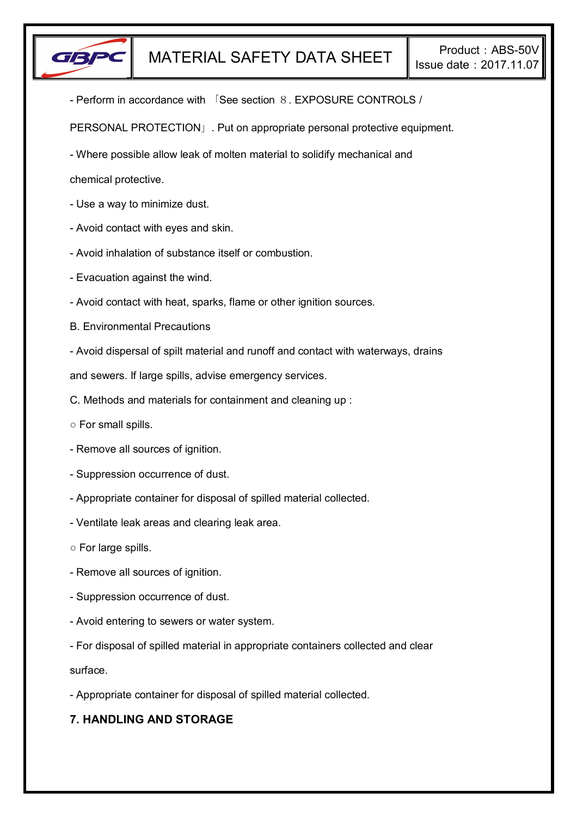

- Perform in accordance with 「See section 8. EXPOSURE CONTROLS /

PERSONAL PROTECTION」. Put on appropriate personal protective equipment.

- Where possible allow leak of molten material to solidify mechanical and

chemical protective.

- Use a way to minimize dust.
- Avoid contact with eyes and skin.
- Avoid inhalation of substance itself or combustion.
- Evacuation against the wind.
- Avoid contact with heat, sparks, flame or other ignition sources.
- B. Environmental Precautions
- Avoid dispersal of spilt material and runoff and contact with waterways, drains

and sewers. If large spills, advise emergency services.

- C. Methods and materials for containment and cleaning up :
- For small spills.
- Remove all sources of ignition.
- Suppression occurrence of dust.
- Appropriate container for disposal of spilled material collected.
- Ventilate leak areas and clearing leak area.
- For large spills.
- Remove all sources of ignition.
- Suppression occurrence of dust.
- Avoid entering to sewers or water system.
- For disposal of spilled material in appropriate containers collected and clear

surface.

- Appropriate container for disposal of spilled material collected.

# **7. HANDLING AND STORAGE**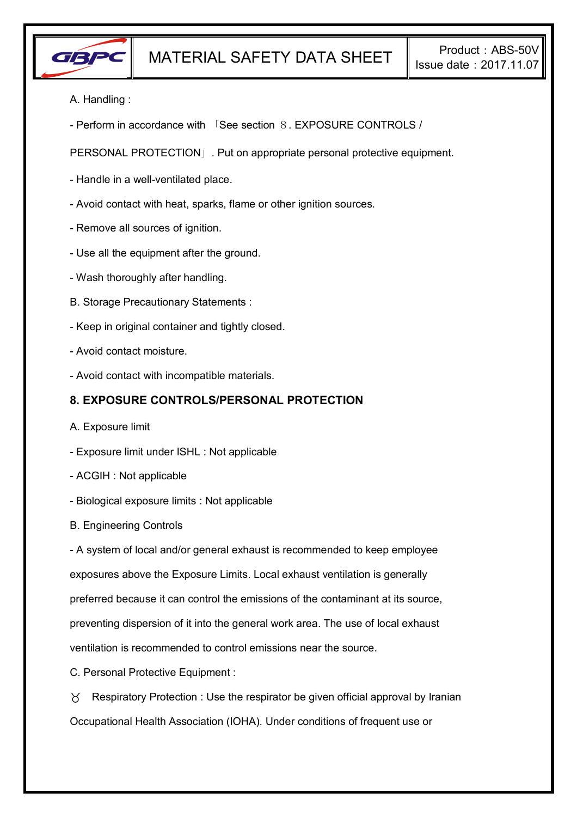

- A. Handling :
- Perform in accordance with 「See section 8. EXPOSURE CONTROLS /

PERSONAL PROTECTION」. Put on appropriate personal protective equipment.

- Handle in a well-ventilated place.
- Avoid contact with heat, sparks, flame or other ignition sources.
- Remove all sources of ignition.
- Use all the equipment after the ground.
- Wash thoroughly after handling.
- B. Storage Precautionary Statements :
- Keep in original container and tightly closed.
- Avoid contact moisture.
- Avoid contact with incompatible materials.

### **8. EXPOSURE CONTROLS/PERSONAL PROTECTION**

- A. Exposure limit
- Exposure limit under ISHL : Not applicable
- ACGIH : Not applicable
- Biological exposure limits : Not applicable
- B. Engineering Controls

- A system of local and/or general exhaust is recommended to keep employee exposures above the Exposure Limits. Local exhaust ventilation is generally preferred because it can control the emissions of the contaminant at its source, preventing dispersion of it into the general work area. The use of local exhaust ventilation is recommended to control emissions near the source.

C. Personal Protective Equipment :

 $\gamma$  Respiratory Protection : Use the respirator be given official approval by Iranian Occupational Health Association (IOHA). Under conditions of frequent use or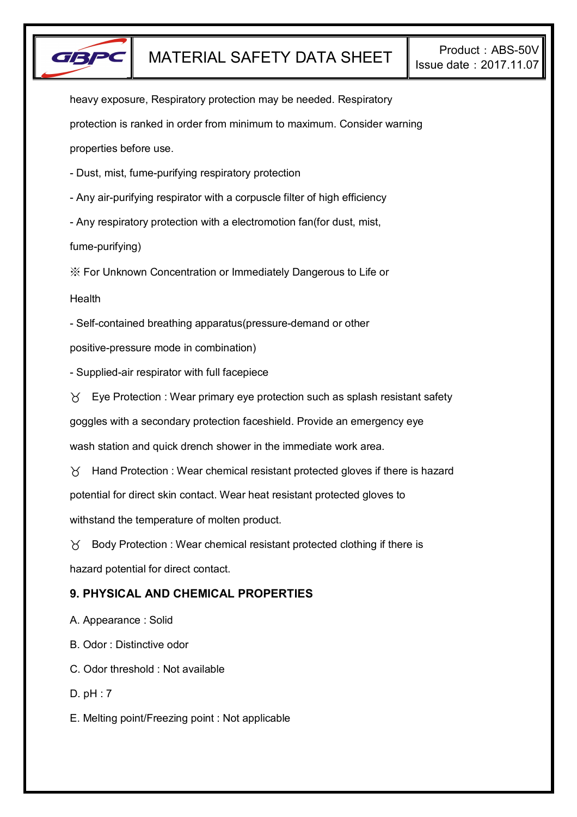

heavy exposure, Respiratory protection may be needed. Respiratory protection is ranked in order from minimum to maximum. Consider warning properties before use.

- Dust, mist, fume-purifying respiratory protection

- Any air-purifying respirator with a corpuscle filter of high efficiency

- Any respiratory protection with a electromotion fan(for dust, mist,

fume-purifying)

※ For Unknown Concentration or Immediately Dangerous to Life or

**Health** 

- Self-contained breathing apparatus(pressure-demand or other

positive-pressure mode in combination)

- Supplied-air respirator with full facepiece

 $\forall$  Eye Protection : Wear primary eye protection such as splash resistant safety

goggles with a secondary protection faceshield. Provide an emergency eye

wash station and quick drench shower in the immediate work area.

 $\gamma$  Hand Protection : Wear chemical resistant protected gloves if there is hazard potential for direct skin contact. Wear heat resistant protected gloves to withstand the temperature of molten product.

 $\gamma$  Body Protection : Wear chemical resistant protected clothing if there is hazard potential for direct contact.

# **9. PHYSICAL AND CHEMICAL PROPERTIES**

A. Appearance : Solid

B. Odor : Distinctive odor

C. Odor threshold : Not available

D. pH : 7

E. Melting point/Freezing point : Not applicable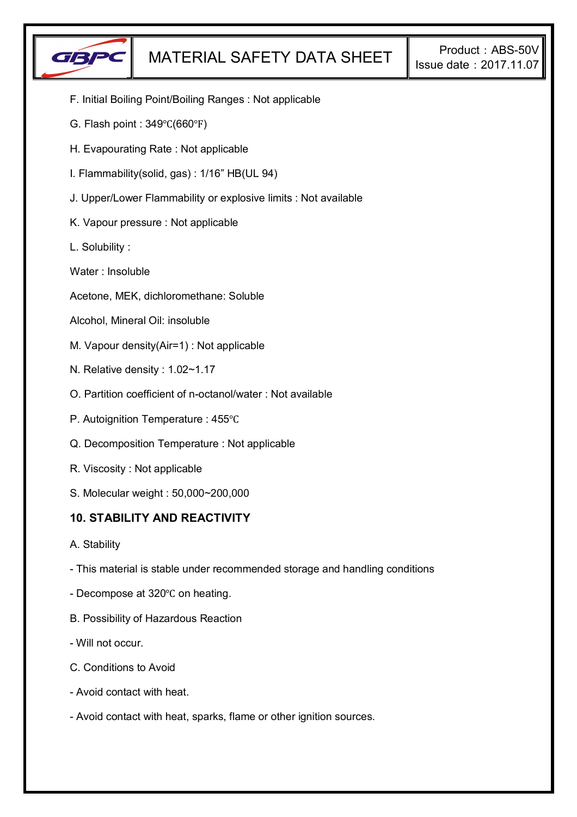

- F. Initial Boiling Point/Boiling Ranges : Not applicable
- G. Flash point : 349℃(660℉)
- H. Evapourating Rate : Not applicable
- I. Flammability(solid, gas) : 1/16" HB(UL 94)
- J. Upper/Lower Flammability or explosive limits : Not available
- K. Vapour pressure : Not applicable
- L. Solubility :
- Water : Insoluble
- Acetone, MEK, dichloromethane: Soluble
- Alcohol, Mineral Oil: insoluble
- M. Vapour density(Air=1) : Not applicable
- N. Relative density : 1.02~1.17
- O. Partition coefficient of n-octanol/water : Not available
- P. Autoignition Temperature : 455℃
- Q. Decomposition Temperature : Not applicable
- R. Viscosity : Not applicable
- S. Molecular weight : 50,000~200,000

### **10. STABILITY AND REACTIVITY**

- A. Stability
- This material is stable under recommended storage and handling conditions
- Decompose at 320℃ on heating.
- B. Possibility of Hazardous Reaction
- Will not occur.
- C. Conditions to Avoid
- Avoid contact with heat.
- Avoid contact with heat, sparks, flame or other ignition sources.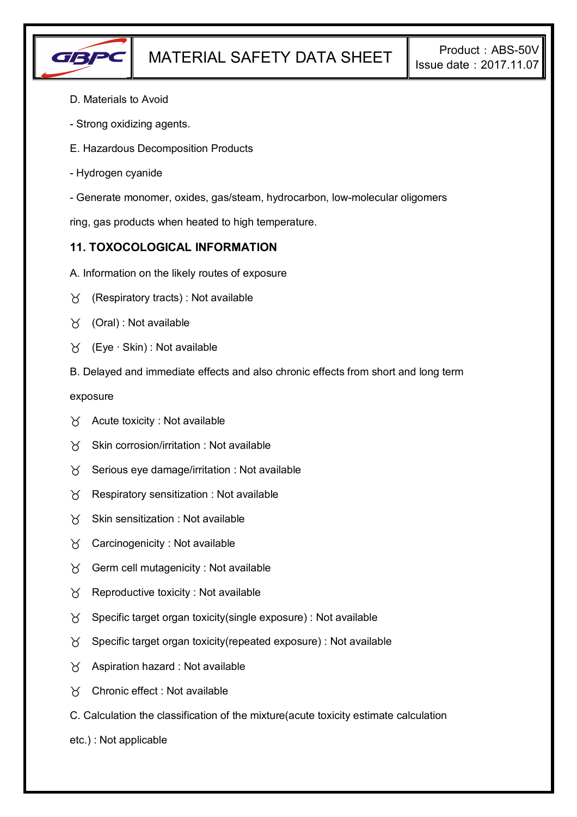

- D. Materials to Avoid
- Strong oxidizing agents.
- E. Hazardous Decomposition Products
- Hydrogen cyanide
- Generate monomer, oxides, gas/steam, hydrocarbon, low-molecular oligomers

ring, gas products when heated to high temperature.

## **11. TOXOCOLOGICAL INFORMATION**

- A. Information on the likely routes of exposure
- $\forall$  (Respiratory tracts) : Not available
- $\forall$  (Oral): Not available
- (Eye ∙ Skin) : Not available
- B. Delayed and immediate effects and also chronic effects from short and long term

exposure

- $\forall$  Acute toxicity : Not available
- $\gamma$  Skin corrosion/irritation : Not available
- $\gamma$  Serious eye damage/irritation : Not available
- $\gamma$  Respiratory sensitization : Not available
- $X$  Skin sensitization : Not available
- Carcinogenicity : Not available
- $\gamma$  Germ cell mutagenicity : Not available
- $\gamma$  Reproductive toxicity : Not available
- $\gamma$  Specific target organ toxicity(single exposure) : Not available
- $\gamma$  Specific target organ toxicity(repeated exposure) : Not available
- $\chi$  Aspiration hazard : Not available
- Chronic effect : Not available
- C. Calculation the classification of the mixture(acute toxicity estimate calculation
- etc.) : Not applicable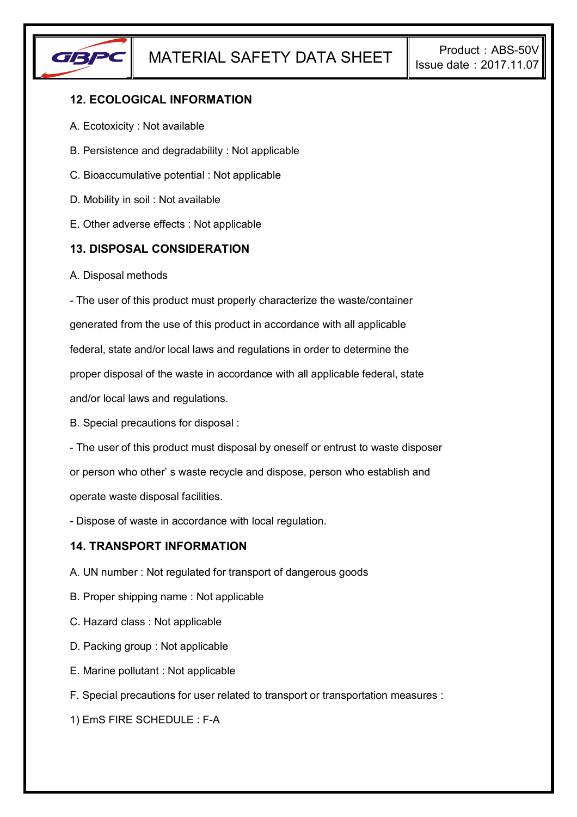

# **12. ECOLOGICAL INFORMATION**

- A. Ecotoxicity : Not available
- B. Persistence and degradability : Not applicable
- C. Bioaccumulative potential : Not applicable
- D. Mobility in soil : Not available
- E. Other adverse effects : Not applicable

## **13. DISPOSAL CONSIDERATION**

A. Disposal methods

- The user of this product must properly characterize the waste/container generated from the use of this product in accordance with all applicable federal, state and/or local laws and regulations in order to determine the proper disposal of the waste in accordance with all applicable federal, state and/or local laws and regulations.

B. Special precautions for disposal :

- The user of this product must disposal by oneself or entrust to waste disposer or person who other' s waste recycle and dispose, person who establish and operate waste disposal facilities.

- Dispose of waste in accordance with local regulation.

### **14. TRANSPORT INFORMATION**

- A. UN number : Not regulated for transport of dangerous goods
- B. Proper shipping name : Not applicable
- C. Hazard class : Not applicable
- D. Packing group : Not applicable
- E. Marine pollutant : Not applicable
- F. Special precautions for user related to transport or transportation measures :

1) EmS FIRE SCHEDULE : F-A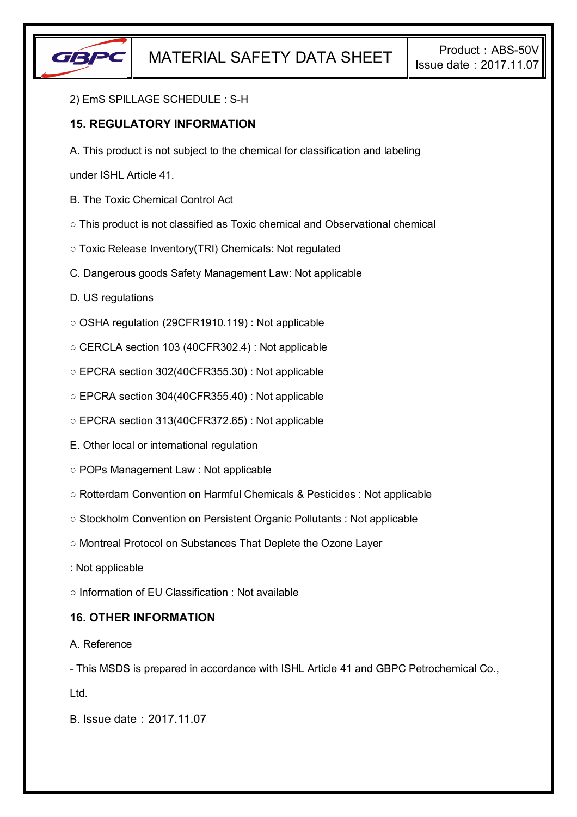

#### 2) EmS SPILLAGE SCHEDULE : S-H

## **15. REGULATORY INFORMATION**

A. This product is not subject to the chemical for classification and labeling

under ISHL Article 41.

- B. The Toxic Chemical Control Act
- This product is not classified as Toxic chemical and Observational chemical
- Toxic Release Inventory(TRI) Chemicals: Not regulated
- C. Dangerous goods Safety Management Law: Not applicable
- D. US regulations
- OSHA regulation (29CFR1910.119) : Not applicable
- CERCLA section 103 (40CFR302.4) : Not applicable
- EPCRA section 302(40CFR355.30) : Not applicable
- EPCRA section 304(40CFR355.40) : Not applicable
- EPCRA section 313(40CFR372.65) : Not applicable
- E. Other local or international regulation
- POPs Management Law : Not applicable
- Rotterdam Convention on Harmful Chemicals & Pesticides : Not applicable
- Stockholm Convention on Persistent Organic Pollutants : Not applicable
- Montreal Protocol on Substances That Deplete the Ozone Layer
- : Not applicable
- Information of EU Classification : Not available

### **16. OTHER INFORMATION**

### A. Reference

- This MSDS is prepared in accordance with ISHL Article 41 and GBPC Petrochemical Co.,

Ltd.

B. Issue date:2017.11.07